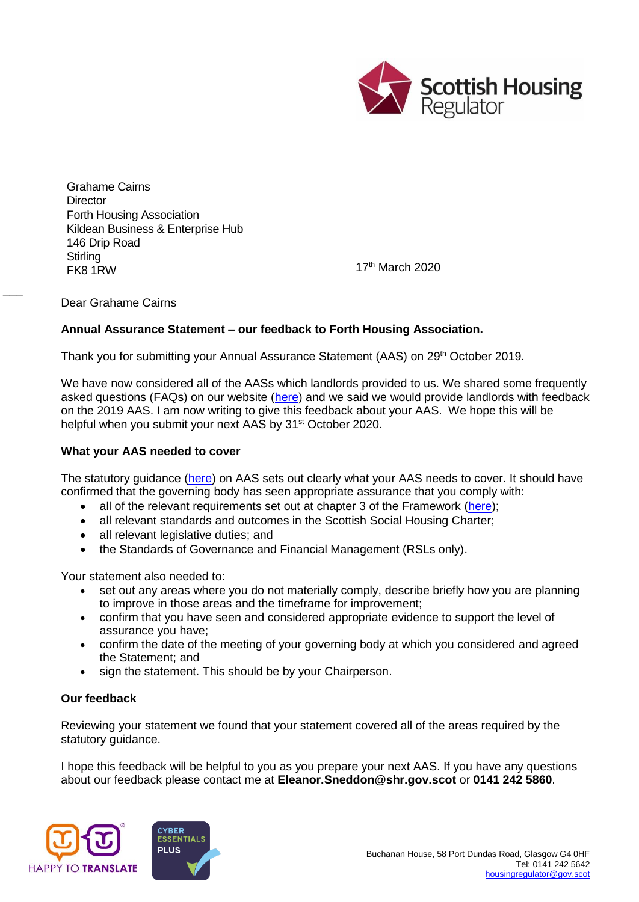

Grahame Cairns **Director** Forth Housing Association Kildean Business & Enterprise Hub 146 Drip Road **Stirling** Example 17<sup>th</sup> March 2020

Dear Grahame Cairns

 $\overline{\phantom{a}}$ 

## **Annual Assurance Statement – our feedback to Forth Housing Association.**

Thank you for submitting your Annual Assurance Statement (AAS) on 29<sup>th</sup> October 2019.

We have now considered all of the AASs which landlords provided to us. We shared some frequently asked questions (FAQs) on our website [\(here\)](https://www.housingregulator.gov.scot/for-landlords/advisory-guidance/technical-guidance/annual-assurance-statements-your-frequently-asked-questions) and we said we would provide landlords with feedback on the 2019 AAS. I am now writing to give this feedback about your AAS. We hope this will be helpful when you submit your next AAS by 31<sup>st</sup> October 2020.

## **What your AAS needed to cover**

The statutory guidance [\(here\)](https://www.housingregulator.gov.scot/for-landlords/statutory-guidance/annual-assurance-statement#section-4) on AAS sets out clearly what your AAS needs to cover. It should have confirmed that the governing body has seen appropriate assurance that you comply with:

- all of the relevant requirements set out at chapter 3 of the Framework [\(here\)](https://www.housingregulator.gov.scot/for-landlords/regulatory-framework#section-3);
- all relevant standards and outcomes in the Scottish Social Housing Charter;
- all relevant legislative duties; and
- the Standards of Governance and Financial Management (RSLs only).

Your statement also needed to:

- set out any areas where you do not materially comply, describe briefly how you are planning to improve in those areas and the timeframe for improvement;
- confirm that you have seen and considered appropriate evidence to support the level of assurance you have;
- confirm the date of the meeting of your governing body at which you considered and agreed the Statement; and
- sign the statement. This should be by your Chairperson.

## **Our feedback**

Reviewing your statement we found that your statement covered all of the areas required by the statutory guidance.

I hope this feedback will be helpful to you as you prepare your next AAS. If you have any questions about our feedback please contact me at **Eleanor.Sneddon@shr.gov.scot** or **0141 242 5860**.